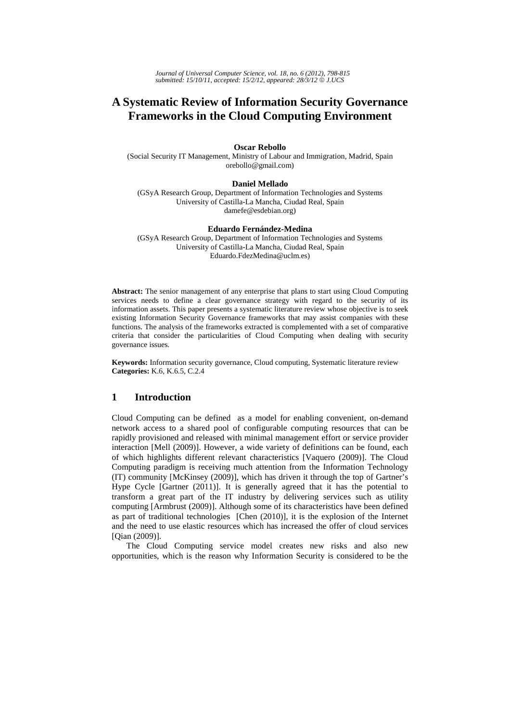# **A Systematic Review of Information Security Governance Frameworks in the Cloud Computing Environment**

### **Oscar Rebollo**

(Social Security IT Management, Ministry of Labour and Immigration, Madrid, Spain orebollo@gmail.com)

### **Daniel Mellado**

(GSyA Research Group, Department of Information Technologies and Systems University of Castilla-La Mancha, Ciudad Real, Spain damefe@esdebian.org)

#### **Eduardo Fernández-Medina**

(GSyA Research Group, Department of Information Technologies and Systems University of Castilla-La Mancha, Ciudad Real, Spain Eduardo.FdezMedina@uclm.es)

**Abstract:** The senior management of any enterprise that plans to start using Cloud Computing services needs to define a clear governance strategy with regard to the security of its information assets. This paper presents a systematic literature review whose objective is to seek existing Information Security Governance frameworks that may assist companies with these functions. The analysis of the frameworks extracted is complemented with a set of comparative criteria that consider the particularities of Cloud Computing when dealing with security governance issues.

**Keywords:** Information security governance, Cloud computing, Systematic literature review **Categories:** K.6, K.6.5, C.2.4

# **1 Introduction**

Cloud Computing can be defined as a model for enabling convenient, on-demand network access to a shared pool of configurable computing resources that can be rapidly provisioned and released with minimal management effort or service provider interaction [Mell (2009)]. However, a wide variety of definitions can be found, each of which highlights different relevant characteristics [Vaquero (2009)]. The Cloud Computing paradigm is receiving much attention from the Information Technology (IT) community [McKinsey (2009)], which has driven it through the top of Gartner's Hype Cycle [Gartner (2011)]. It is generally agreed that it has the potential to transform a great part of the IT industry by delivering services such as utility computing [Armbrust (2009)]. Although some of its characteristics have been defined as part of traditional technologies [Chen (2010)], it is the explosion of the Internet and the need to use elastic resources which has increased the offer of cloud services [Oian (2009)].

The Cloud Computing service model creates new risks and also new opportunities, which is the reason why Information Security is considered to be the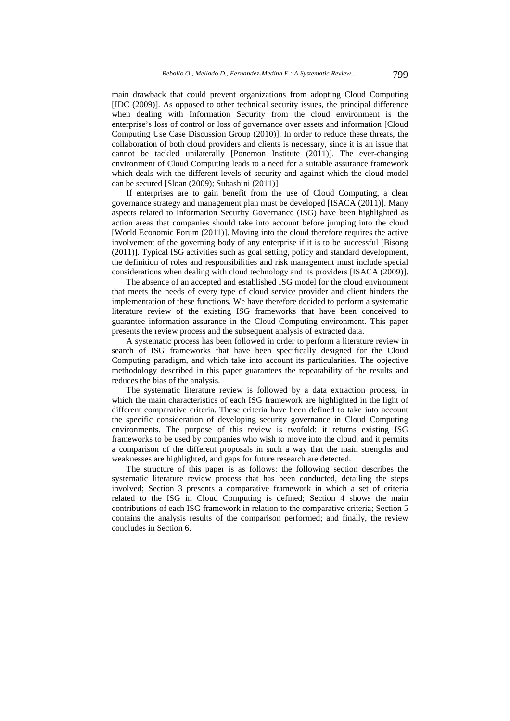main drawback that could prevent organizations from adopting Cloud Computing [IDC (2009)]. As opposed to other technical security issues, the principal difference when dealing with Information Security from the cloud environment is the enterprise's loss of control or loss of governance over assets and information [Cloud Computing Use Case Discussion Group (2010)]. In order to reduce these threats, the collaboration of both cloud providers and clients is necessary, since it is an issue that cannot be tackled unilaterally [Ponemon Institute (2011)]. The ever-changing environment of Cloud Computing leads to a need for a suitable assurance framework which deals with the different levels of security and against which the cloud model can be secured [Sloan (2009); Subashini (2011)]

If enterprises are to gain benefit from the use of Cloud Computing, a clear governance strategy and management plan must be developed [ISACA (2011)]. Many aspects related to Information Security Governance (ISG) have been highlighted as action areas that companies should take into account before jumping into the cloud [World Economic Forum (2011)]. Moving into the cloud therefore requires the active involvement of the governing body of any enterprise if it is to be successful [Bisong (2011)]. Typical ISG activities such as goal setting, policy and standard development, the definition of roles and responsibilities and risk management must include special considerations when dealing with cloud technology and its providers [ISACA (2009)].

The absence of an accepted and established ISG model for the cloud environment that meets the needs of every type of cloud service provider and client hinders the implementation of these functions. We have therefore decided to perform a systematic literature review of the existing ISG frameworks that have been conceived to guarantee information assurance in the Cloud Computing environment. This paper presents the review process and the subsequent analysis of extracted data.

A systematic process has been followed in order to perform a literature review in search of ISG frameworks that have been specifically designed for the Cloud Computing paradigm, and which take into account its particularities. The objective methodology described in this paper guarantees the repeatability of the results and reduces the bias of the analysis.

The systematic literature review is followed by a data extraction process, in which the main characteristics of each ISG framework are highlighted in the light of different comparative criteria. These criteria have been defined to take into account the specific consideration of developing security governance in Cloud Computing environments. The purpose of this review is twofold: it returns existing ISG frameworks to be used by companies who wish to move into the cloud; and it permits a comparison of the different proposals in such a way that the main strengths and weaknesses are highlighted, and gaps for future research are detected.

The structure of this paper is as follows: the following section describes the systematic literature review process that has been conducted, detailing the steps involved; Section 3 presents a comparative framework in which a set of criteria related to the ISG in Cloud Computing is defined; Section 4 shows the main contributions of each ISG framework in relation to the comparative criteria; Section 5 contains the analysis results of the comparison performed; and finally, the review concludes in Section 6.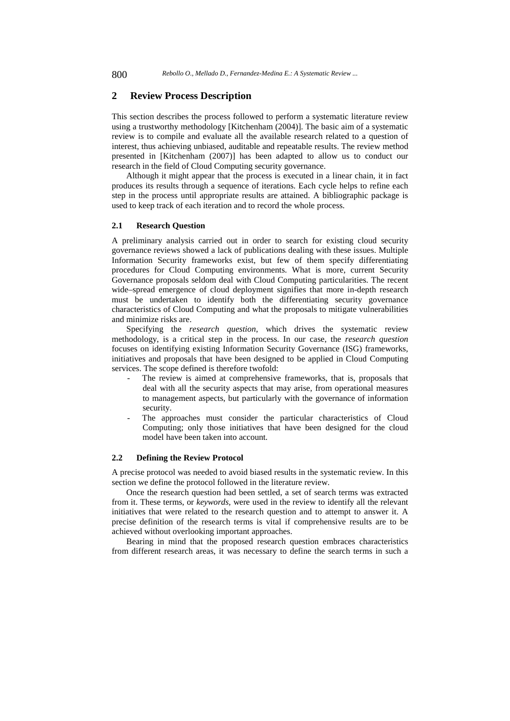# **2 Review Process Description**

This section describes the process followed to perform a systematic literature review using a trustworthy methodology [Kitchenham (2004)]. The basic aim of a systematic review is to compile and evaluate all the available research related to a question of interest, thus achieving unbiased, auditable and repeatable results. The review method presented in [Kitchenham (2007)] has been adapted to allow us to conduct our research in the field of Cloud Computing security governance.

Although it might appear that the process is executed in a linear chain, it in fact produces its results through a sequence of iterations. Each cycle helps to refine each step in the process until appropriate results are attained. A bibliographic package is used to keep track of each iteration and to record the whole process.

### **2.1 Research Question**

A preliminary analysis carried out in order to search for existing cloud security governance reviews showed a lack of publications dealing with these issues. Multiple Information Security frameworks exist, but few of them specify differentiating procedures for Cloud Computing environments. What is more, current Security Governance proposals seldom deal with Cloud Computing particularities. The recent wide–spread emergence of cloud deployment signifies that more in-depth research must be undertaken to identify both the differentiating security governance characteristics of Cloud Computing and what the proposals to mitigate vulnerabilities and minimize risks are.

Specifying the *research question*, which drives the systematic review methodology, is a critical step in the process. In our case, the *research question* focuses on identifying existing Information Security Governance (ISG) frameworks, initiatives and proposals that have been designed to be applied in Cloud Computing services. The scope defined is therefore twofold:

- The review is aimed at comprehensive frameworks, that is, proposals that deal with all the security aspects that may arise, from operational measures to management aspects, but particularly with the governance of information security.
- The approaches must consider the particular characteristics of Cloud Computing; only those initiatives that have been designed for the cloud model have been taken into account.

### **2.2 Defining the Review Protocol**

A precise protocol was needed to avoid biased results in the systematic review. In this section we define the protocol followed in the literature review.

Once the research question had been settled, a set of search terms was extracted from it. These terms, or *keywords,* were used in the review to identify all the relevant initiatives that were related to the research question and to attempt to answer it. A precise definition of the research terms is vital if comprehensive results are to be achieved without overlooking important approaches.

Bearing in mind that the proposed research question embraces characteristics from different research areas, it was necessary to define the search terms in such a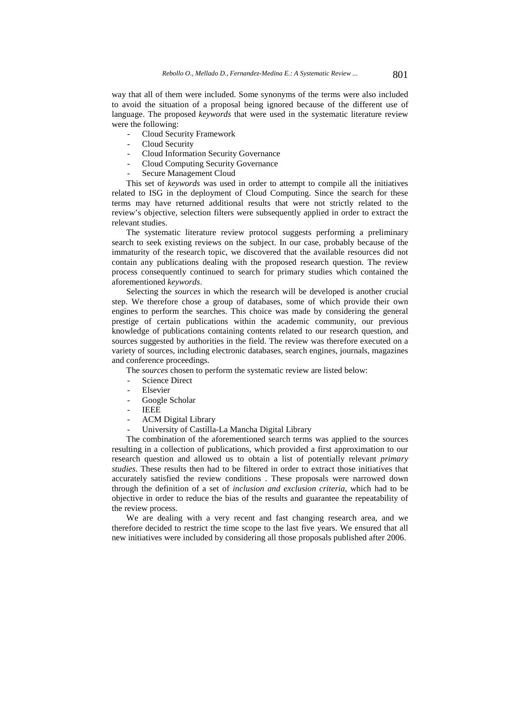way that all of them were included. Some synonyms of the terms were also included to avoid the situation of a proposal being ignored because of the different use of language. The proposed *keywords* that were used in the systematic literature review were the following:

- Cloud Security Framework
- Cloud Security
- Cloud Information Security Governance
- Cloud Computing Security Governance
- Secure Management Cloud

This set of *keywords* was used in order to attempt to compile all the initiatives related to ISG in the deployment of Cloud Computing. Since the search for these terms may have returned additional results that were not strictly related to the review's objective, selection filters were subsequently applied in order to extract the relevant studies.

The systematic literature review protocol suggests performing a preliminary search to seek existing reviews on the subject. In our case, probably because of the immaturity of the research topic, we discovered that the available resources did not contain any publications dealing with the proposed research question. The review process consequently continued to search for primary studies which contained the aforementioned *keywords*.

Selecting the *sources* in which the research will be developed is another crucial step. We therefore chose a group of databases, some of which provide their own engines to perform the searches. This choice was made by considering the general prestige of certain publications within the academic community, our previous knowledge of publications containing contents related to our research question, and sources suggested by authorities in the field. The review was therefore executed on a variety of sources, including electronic databases, search engines, journals, magazines and conference proceedings.

The *sources* chosen to perform the systematic review are listed below:

- Science Direct
- **Elsevier**
- Google Scholar
- IEEE
- ACM Digital Library
- University of Castilla-La Mancha Digital Library

The combination of the aforementioned search terms was applied to the sources resulting in a collection of publications, which provided a first approximation to our research question and allowed us to obtain a list of potentially relevant *primary studies*. These results then had to be filtered in order to extract those initiatives that accurately satisfied the review conditions . These proposals were narrowed down through the definition of a set of *inclusion and exclusion criteria*, which had to be objective in order to reduce the bias of the results and guarantee the repeatability of the review process.

We are dealing with a very recent and fast changing research area, and we therefore decided to restrict the time scope to the last five years. We ensured that all new initiatives were included by considering all those proposals published after 2006.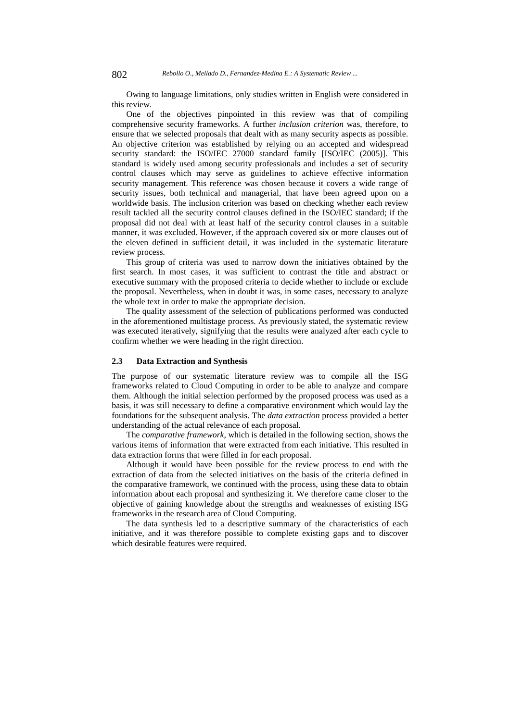Owing to language limitations, only studies written in English were considered in this review.

One of the objectives pinpointed in this review was that of compiling comprehensive security frameworks. A further *inclusion criterion* was, therefore, to ensure that we selected proposals that dealt with as many security aspects as possible. An objective criterion was established by relying on an accepted and widespread security standard: the ISO/IEC 27000 standard family [ISO/IEC (2005)]. This standard is widely used among security professionals and includes a set of security control clauses which may serve as guidelines to achieve effective information security management. This reference was chosen because it covers a wide range of security issues, both technical and managerial, that have been agreed upon on a worldwide basis. The inclusion criterion was based on checking whether each review result tackled all the security control clauses defined in the ISO/IEC standard; if the proposal did not deal with at least half of the security control clauses in a suitable manner, it was excluded. However, if the approach covered six or more clauses out of the eleven defined in sufficient detail, it was included in the systematic literature review process.

This group of criteria was used to narrow down the initiatives obtained by the first search. In most cases, it was sufficient to contrast the title and abstract or executive summary with the proposed criteria to decide whether to include or exclude the proposal. Nevertheless, when in doubt it was, in some cases, necessary to analyze the whole text in order to make the appropriate decision.

The quality assessment of the selection of publications performed was conducted in the aforementioned multistage process. As previously stated, the systematic review was executed iteratively, signifying that the results were analyzed after each cycle to confirm whether we were heading in the right direction.

# **2.3 Data Extraction and Synthesis**

The purpose of our systematic literature review was to compile all the ISG frameworks related to Cloud Computing in order to be able to analyze and compare them. Although the initial selection performed by the proposed process was used as a basis, it was still necessary to define a comparative environment which would lay the foundations for the subsequent analysis. The *data extraction* process provided a better understanding of the actual relevance of each proposal.

The *comparative framework*, which is detailed in the following section, shows the various items of information that were extracted from each initiative. This resulted in data extraction forms that were filled in for each proposal.

Although it would have been possible for the review process to end with the extraction of data from the selected initiatives on the basis of the criteria defined in the comparative framework, we continued with the process, using these data to obtain information about each proposal and synthesizing it. We therefore came closer to the objective of gaining knowledge about the strengths and weaknesses of existing ISG frameworks in the research area of Cloud Computing.

The data synthesis led to a descriptive summary of the characteristics of each initiative, and it was therefore possible to complete existing gaps and to discover which desirable features were required.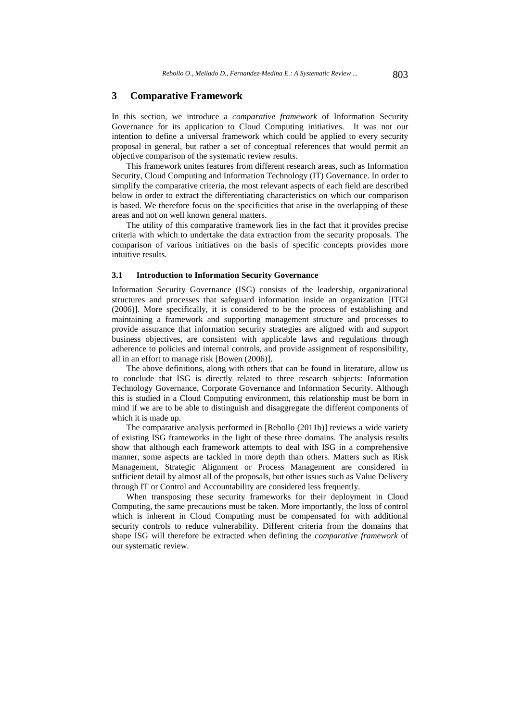### **3 Comparative Framework**

In this section, we introduce a *comparative framework* of Information Security Governance for its application to Cloud Computing initiatives. It was not our intention to define a universal framework which could be applied to every security proposal in general, but rather a set of conceptual references that would permit an objective comparison of the systematic review results.

This framework unites features from different research areas, such as Information Security, Cloud Computing and Information Technology (IT) Governance. In order to simplify the comparative criteria, the most relevant aspects of each field are described below in order to extract the differentiating characteristics on which our comparison is based. We therefore focus on the specificities that arise in the overlapping of these areas and not on well known general matters.

The utility of this comparative framework lies in the fact that it provides precise criteria with which to undertake the data extraction from the security proposals. The comparison of various initiatives on the basis of specific concepts provides more intuitive results.

### **3.1 Introduction to Information Security Governance**

Information Security Governance (ISG) consists of the leadership, organizational structures and processes that safeguard information inside an organization [ITGI (2006)]. More specifically, it is considered to be the process of establishing and maintaining a framework and supporting management structure and processes to provide assurance that information security strategies are aligned with and support business objectives, are consistent with applicable laws and regulations through adherence to policies and internal controls, and provide assignment of responsibility, all in an effort to manage risk [Bowen (2006)].

The above definitions, along with others that can be found in literature, allow us to conclude that ISG is directly related to three research subjects: Information Technology Governance, Corporate Governance and Information Security. Although this is studied in a Cloud Computing environment, this relationship must be born in mind if we are to be able to distinguish and disaggregate the different components of which it is made up.

The comparative analysis performed in [Rebollo (2011b)] reviews a wide variety of existing ISG frameworks in the light of these three domains. The analysis results show that although each framework attempts to deal with ISG in a comprehensive manner, some aspects are tackled in more depth than others. Matters such as Risk Management, Strategic Alignment or Process Management are considered in sufficient detail by almost all of the proposals, but other issues such as Value Delivery through IT or Control and Accountability are considered less frequently.

When transposing these security frameworks for their deployment in Cloud Computing, the same precautions must be taken. More importantly, the loss of control which is inherent in Cloud Computing must be compensated for with additional security controls to reduce vulnerability. Different criteria from the domains that shape ISG will therefore be extracted when defining the *comparative framework* of our systematic review.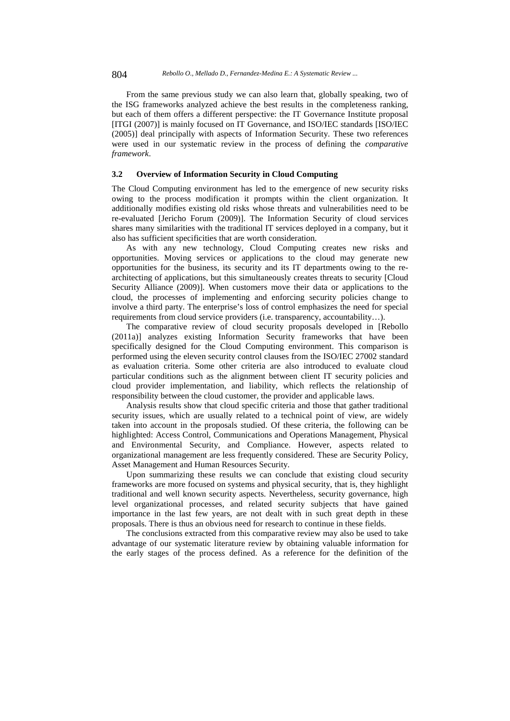From the same previous study we can also learn that, globally speaking, two of the ISG frameworks analyzed achieve the best results in the completeness ranking, but each of them offers a different perspective: the IT Governance Institute proposal [ITGI (2007)] is mainly focused on IT Governance, and ISO/IEC standards [ISO/IEC (2005)] deal principally with aspects of Information Security. These two references were used in our systematic review in the process of defining the *comparative framework*.

# **3.2 Overview of Information Security in Cloud Computing**

The Cloud Computing environment has led to the emergence of new security risks owing to the process modification it prompts within the client organization. It additionally modifies existing old risks whose threats and vulnerabilities need to be re-evaluated [Jericho Forum (2009)]. The Information Security of cloud services shares many similarities with the traditional IT services deployed in a company, but it also has sufficient specificities that are worth consideration.

As with any new technology, Cloud Computing creates new risks and opportunities. Moving services or applications to the cloud may generate new opportunities for the business, its security and its IT departments owing to the rearchitecting of applications, but this simultaneously creates threats to security [Cloud Security Alliance (2009)]. When customers move their data or applications to the cloud, the processes of implementing and enforcing security policies change to involve a third party. The enterprise's loss of control emphasizes the need for special requirements from cloud service providers (i.e. transparency, accountability…).

The comparative review of cloud security proposals developed in [Rebollo (2011a)] analyzes existing Information Security frameworks that have been specifically designed for the Cloud Computing environment. This comparison is performed using the eleven security control clauses from the ISO/IEC 27002 standard as evaluation criteria. Some other criteria are also introduced to evaluate cloud particular conditions such as the alignment between client IT security policies and cloud provider implementation, and liability, which reflects the relationship of responsibility between the cloud customer, the provider and applicable laws.

Analysis results show that cloud specific criteria and those that gather traditional security issues, which are usually related to a technical point of view, are widely taken into account in the proposals studied. Of these criteria, the following can be highlighted: Access Control, Communications and Operations Management, Physical and Environmental Security, and Compliance. However, aspects related to organizational management are less frequently considered. These are Security Policy, Asset Management and Human Resources Security.

Upon summarizing these results we can conclude that existing cloud security frameworks are more focused on systems and physical security, that is, they highlight traditional and well known security aspects. Nevertheless, security governance, high level organizational processes, and related security subjects that have gained importance in the last few years, are not dealt with in such great depth in these proposals. There is thus an obvious need for research to continue in these fields.

The conclusions extracted from this comparative review may also be used to take advantage of our systematic literature review by obtaining valuable information for the early stages of the process defined. As a reference for the definition of the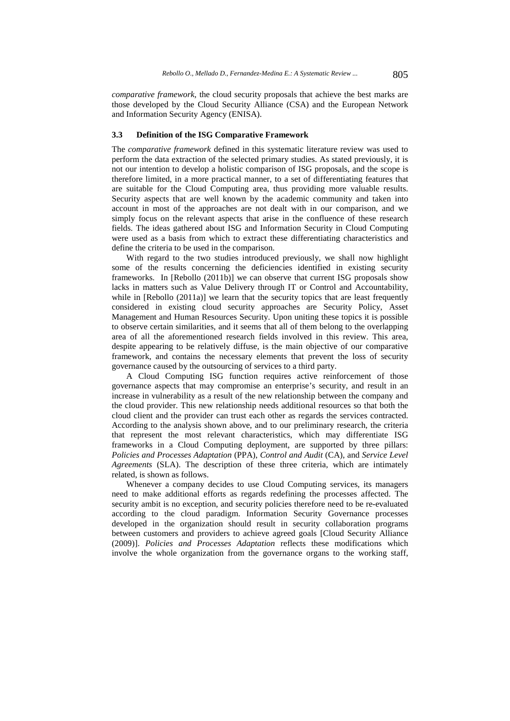*comparative framework*, the cloud security proposals that achieve the best marks are those developed by the Cloud Security Alliance (CSA) and the European Network and Information Security Agency (ENISA).

### **3.3 Definition of the ISG Comparative Framework**

The *comparative framework* defined in this systematic literature review was used to perform the data extraction of the selected primary studies. As stated previously, it is not our intention to develop a holistic comparison of ISG proposals, and the scope is therefore limited, in a more practical manner, to a set of differentiating features that are suitable for the Cloud Computing area, thus providing more valuable results. Security aspects that are well known by the academic community and taken into account in most of the approaches are not dealt with in our comparison, and we simply focus on the relevant aspects that arise in the confluence of these research fields. The ideas gathered about ISG and Information Security in Cloud Computing were used as a basis from which to extract these differentiating characteristics and define the criteria to be used in the comparison.

With regard to the two studies introduced previously, we shall now highlight some of the results concerning the deficiencies identified in existing security frameworks. In [Rebollo (2011b)] we can observe that current ISG proposals show lacks in matters such as Value Delivery through IT or Control and Accountability, while in [Rebollo (2011a)] we learn that the security topics that are least frequently considered in existing cloud security approaches are Security Policy, Asset Management and Human Resources Security. Upon uniting these topics it is possible to observe certain similarities, and it seems that all of them belong to the overlapping area of all the aforementioned research fields involved in this review. This area, despite appearing to be relatively diffuse, is the main objective of our comparative framework, and contains the necessary elements that prevent the loss of security governance caused by the outsourcing of services to a third party.

A Cloud Computing ISG function requires active reinforcement of those governance aspects that may compromise an enterprise's security, and result in an increase in vulnerability as a result of the new relationship between the company and the cloud provider. This new relationship needs additional resources so that both the cloud client and the provider can trust each other as regards the services contracted. According to the analysis shown above, and to our preliminary research, the criteria that represent the most relevant characteristics, which may differentiate ISG frameworks in a Cloud Computing deployment, are supported by three pillars: *Policies and Processes Adaptation* (PPA), *Control and Audit* (CA), and *Service Level Agreements* (SLA). The description of these three criteria, which are intimately related, is shown as follows.

Whenever a company decides to use Cloud Computing services, its managers need to make additional efforts as regards redefining the processes affected. The security ambit is no exception, and security policies therefore need to be re-evaluated according to the cloud paradigm. Information Security Governance processes developed in the organization should result in security collaboration programs between customers and providers to achieve agreed goals [Cloud Security Alliance (2009)]. *Policies and Processes Adaptation* reflects these modifications which involve the whole organization from the governance organs to the working staff,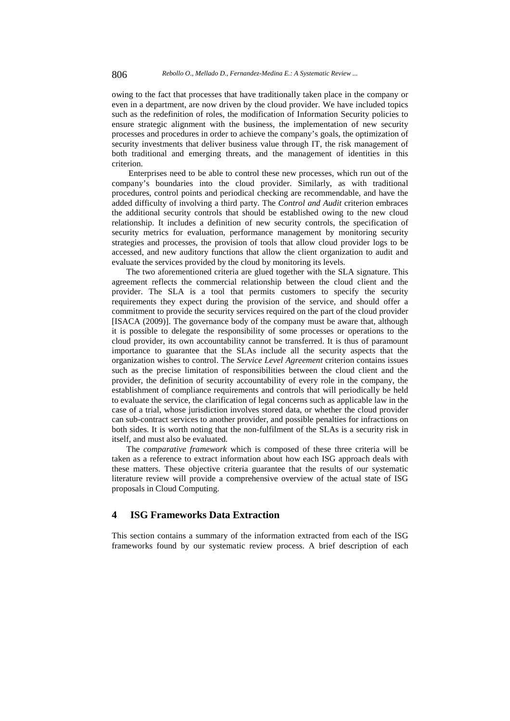owing to the fact that processes that have traditionally taken place in the company or even in a department, are now driven by the cloud provider. We have included topics such as the redefinition of roles, the modification of Information Security policies to ensure strategic alignment with the business, the implementation of new security processes and procedures in order to achieve the company's goals, the optimization of security investments that deliver business value through IT, the risk management of both traditional and emerging threats, and the management of identities in this criterion.

 Enterprises need to be able to control these new processes, which run out of the company's boundaries into the cloud provider. Similarly, as with traditional procedures, control points and periodical checking are recommendable, and have the added difficulty of involving a third party. The *Control and Audit* criterion embraces the additional security controls that should be established owing to the new cloud relationship. It includes a definition of new security controls, the specification of security metrics for evaluation, performance management by monitoring security strategies and processes, the provision of tools that allow cloud provider logs to be accessed, and new auditory functions that allow the client organization to audit and evaluate the services provided by the cloud by monitoring its levels.

The two aforementioned criteria are glued together with the SLA signature. This agreement reflects the commercial relationship between the cloud client and the provider. The SLA is a tool that permits customers to specify the security requirements they expect during the provision of the service, and should offer a commitment to provide the security services required on the part of the cloud provider [ISACA (2009)]. The governance body of the company must be aware that, although it is possible to delegate the responsibility of some processes or operations to the cloud provider, its own accountability cannot be transferred. It is thus of paramount importance to guarantee that the SLAs include all the security aspects that the organization wishes to control. The *Service Level Agreement* criterion contains issues such as the precise limitation of responsibilities between the cloud client and the provider, the definition of security accountability of every role in the company, the establishment of compliance requirements and controls that will periodically be held to evaluate the service, the clarification of legal concerns such as applicable law in the case of a trial, whose jurisdiction involves stored data, or whether the cloud provider can sub-contract services to another provider, and possible penalties for infractions on both sides. It is worth noting that the non-fulfilment of the SLAs is a security risk in itself, and must also be evaluated.

The *comparative framework* which is composed of these three criteria will be taken as a reference to extract information about how each ISG approach deals with these matters. These objective criteria guarantee that the results of our systematic literature review will provide a comprehensive overview of the actual state of ISG proposals in Cloud Computing.

# **4 ISG Frameworks Data Extraction**

This section contains a summary of the information extracted from each of the ISG frameworks found by our systematic review process. A brief description of each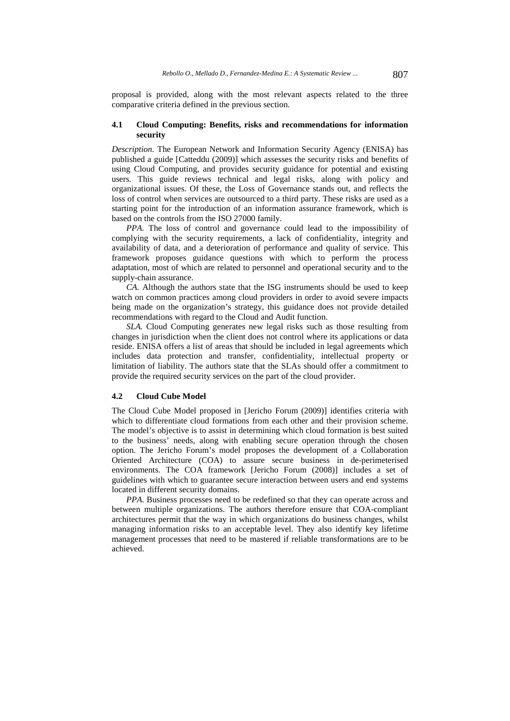proposal is provided, along with the most relevant aspects related to the three comparative criteria defined in the previous section.

### **4.1 Cloud Computing: Benefits, risks and recommendations for information security**

*Description.* The European Network and Information Security Agency (ENISA) has published a guide [Catteddu (2009)] which assesses the security risks and benefits of using Cloud Computing, and provides security guidance for potential and existing users. This guide reviews technical and legal risks, along with policy and organizational issues. Of these, the Loss of Governance stands out, and reflects the loss of control when services are outsourced to a third party. These risks are used as a starting point for the introduction of an information assurance framework, which is based on the controls from the ISO 27000 family.

*PPA.* The loss of control and governance could lead to the impossibility of complying with the security requirements, a lack of confidentiality, integrity and availability of data, and a deterioration of performance and quality of service. This framework proposes guidance questions with which to perform the process adaptation, most of which are related to personnel and operational security and to the supply-chain assurance.

*CA.* Although the authors state that the ISG instruments should be used to keep watch on common practices among cloud providers in order to avoid severe impacts being made on the organization's strategy, this guidance does not provide detailed recommendations with regard to the Cloud and Audit function.

*SLA.* Cloud Computing generates new legal risks such as those resulting from changes in jurisdiction when the client does not control where its applications or data reside. ENISA offers a list of areas that should be included in legal agreements which includes data protection and transfer, confidentiality, intellectual property or limitation of liability. The authors state that the SLAs should offer a commitment to provide the required security services on the part of the cloud provider.

#### **4.2 Cloud Cube Model**

The Cloud Cube Model proposed in [Jericho Forum (2009)] identifies criteria with which to differentiate cloud formations from each other and their provision scheme. The model's objective is to assist in determining which cloud formation is best suited to the business' needs, along with enabling secure operation through the chosen option. The Jericho Forum's model proposes the development of a Collaboration Oriented Architecture (COA) to assure secure business in de-perimeterised environments. The COA framework [Jericho Forum (2008)] includes a set of guidelines with which to guarantee secure interaction between users and end systems located in different security domains.

*PPA*. Business processes need to be redefined so that they can operate across and between multiple organizations. The authors therefore ensure that COA-compliant architectures permit that the way in which organizations do business changes, whilst managing information risks to an acceptable level. They also identify key lifetime management processes that need to be mastered if reliable transformations are to be achieved.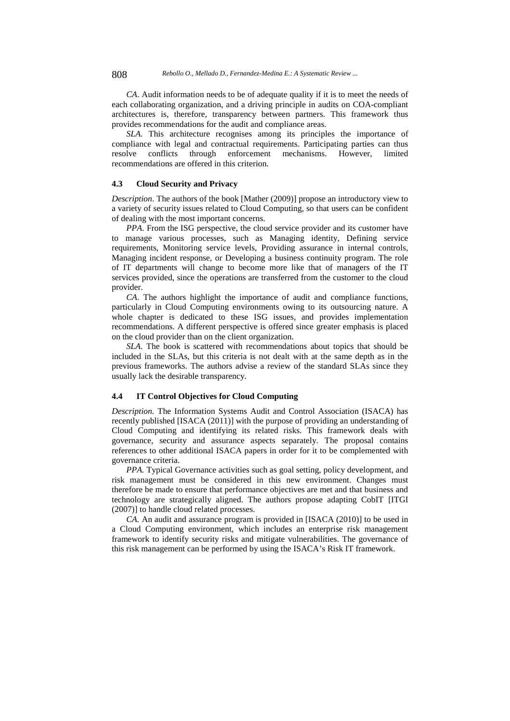*CA*. Audit information needs to be of adequate quality if it is to meet the needs of each collaborating organization, and a driving principle in audits on COA-compliant architectures is, therefore, transparency between partners. This framework thus provides recommendations for the audit and compliance areas.

*SLA*. This architecture recognises among its principles the importance of compliance with legal and contractual requirements. Participating parties can thus resolve conflicts through enforcement mechanisms. However, limited recommendations are offered in this criterion.

### **4.3 Cloud Security and Privacy**

*Description*. The authors of the book [Mather (2009)] propose an introductory view to a variety of security issues related to Cloud Computing, so that users can be confident of dealing with the most important concerns.

*PPA*. From the ISG perspective, the cloud service provider and its customer have to manage various processes, such as Managing identity, Defining service requirements, Monitoring service levels, Providing assurance in internal controls, Managing incident response, or Developing a business continuity program. The role of IT departments will change to become more like that of managers of the IT services provided, since the operations are transferred from the customer to the cloud provider.

*CA*. The authors highlight the importance of audit and compliance functions, particularly in Cloud Computing environments owing to its outsourcing nature. A whole chapter is dedicated to these ISG issues, and provides implementation recommendations. A different perspective is offered since greater emphasis is placed on the cloud provider than on the client organization.

*SLA*. The book is scattered with recommendations about topics that should be included in the SLAs, but this criteria is not dealt with at the same depth as in the previous frameworks. The authors advise a review of the standard SLAs since they usually lack the desirable transparency.

### **4.4 IT Control Objectives for Cloud Computing**

*Description.* The Information Systems Audit and Control Association (ISACA) has recently published [ISACA (2011)] with the purpose of providing an understanding of Cloud Computing and identifying its related risks. This framework deals with governance, security and assurance aspects separately. The proposal contains references to other additional ISACA papers in order for it to be complemented with governance criteria.

*PPA*. Typical Governance activities such as goal setting, policy development, and risk management must be considered in this new environment. Changes must therefore be made to ensure that performance objectives are met and that business and technology are strategically aligned. The authors propose adapting CobIT [ITGI (2007)] to handle cloud related processes.

*CA.* An audit and assurance program is provided in [ISACA (2010)] to be used in a Cloud Computing environment, which includes an enterprise risk management framework to identify security risks and mitigate vulnerabilities. The governance of this risk management can be performed by using the ISACA's Risk IT framework.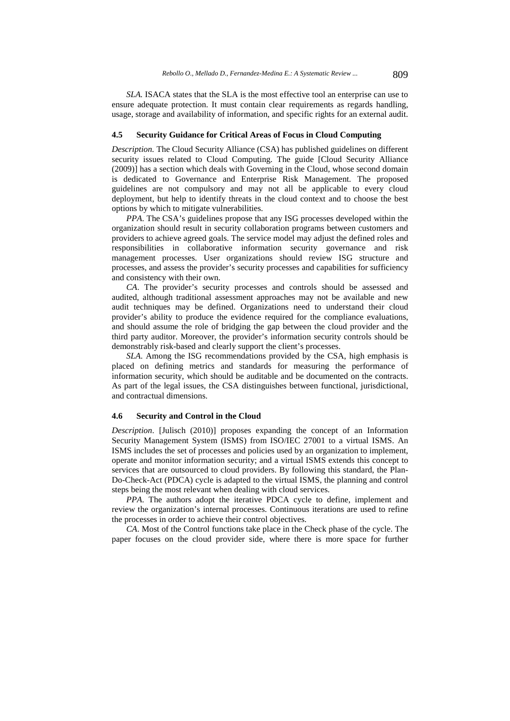*SLA.* ISACA states that the SLA is the most effective tool an enterprise can use to ensure adequate protection. It must contain clear requirements as regards handling, usage, storage and availability of information, and specific rights for an external audit.

### **4.5 Security Guidance for Critical Areas of Focus in Cloud Computing**

*Description.* The Cloud Security Alliance (CSA) has published guidelines on different security issues related to Cloud Computing. The guide [Cloud Security Alliance (2009)] has a section which deals with Governing in the Cloud, whose second domain is dedicated to Governance and Enterprise Risk Management. The proposed guidelines are not compulsory and may not all be applicable to every cloud deployment, but help to identify threats in the cloud context and to choose the best options by which to mitigate vulnerabilities.

*PPA*. The CSA's guidelines propose that any ISG processes developed within the organization should result in security collaboration programs between customers and providers to achieve agreed goals. The service model may adjust the defined roles and responsibilities in collaborative information security governance and risk management processes. User organizations should review ISG structure and processes, and assess the provider's security processes and capabilities for sufficiency and consistency with their own.

*CA*. The provider's security processes and controls should be assessed and audited, although traditional assessment approaches may not be available and new audit techniques may be defined. Organizations need to understand their cloud provider's ability to produce the evidence required for the compliance evaluations, and should assume the role of bridging the gap between the cloud provider and the third party auditor. Moreover, the provider's information security controls should be demonstrably risk-based and clearly support the client's processes.

*SLA*. Among the ISG recommendations provided by the CSA, high emphasis is placed on defining metrics and standards for measuring the performance of information security, which should be auditable and be documented on the contracts. As part of the legal issues, the CSA distinguishes between functional, jurisdictional, and contractual dimensions.

### **4.6 Security and Control in the Cloud**

*Description*. [Julisch (2010)] proposes expanding the concept of an Information Security Management System (ISMS) from ISO/IEC 27001 to a virtual ISMS. An ISMS includes the set of processes and policies used by an organization to implement, operate and monitor information security; and a virtual ISMS extends this concept to services that are outsourced to cloud providers. By following this standard, the Plan-Do-Check-Act (PDCA) cycle is adapted to the virtual ISMS, the planning and control steps being the most relevant when dealing with cloud services.

*PPA*. The authors adopt the iterative PDCA cycle to define, implement and review the organization's internal processes. Continuous iterations are used to refine the processes in order to achieve their control objectives.

*CA*. Most of the Control functions take place in the Check phase of the cycle. The paper focuses on the cloud provider side, where there is more space for further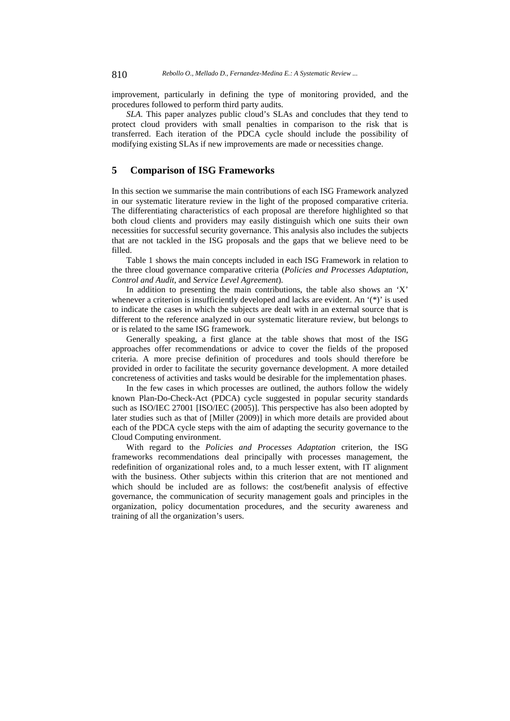improvement, particularly in defining the type of monitoring provided, and the procedures followed to perform third party audits.

*SLA*. This paper analyzes public cloud's SLAs and concludes that they tend to protect cloud providers with small penalties in comparison to the risk that is transferred. Each iteration of the PDCA cycle should include the possibility of modifying existing SLAs if new improvements are made or necessities change.

# **5 Comparison of ISG Frameworks**

In this section we summarise the main contributions of each ISG Framework analyzed in our systematic literature review in the light of the proposed comparative criteria. The differentiating characteristics of each proposal are therefore highlighted so that both cloud clients and providers may easily distinguish which one suits their own necessities for successful security governance. This analysis also includes the subjects that are not tackled in the ISG proposals and the gaps that we believe need to be filled.

Table 1 shows the main concepts included in each ISG Framework in relation to the three cloud governance comparative criteria (*Policies and Processes Adaptation*, *Control and Audit*, and *Service Level Agreement*).

In addition to presenting the main contributions, the table also shows an 'X' whenever a criterion is insufficiently developed and lacks are evident. An '(\*)' is used to indicate the cases in which the subjects are dealt with in an external source that is different to the reference analyzed in our systematic literature review, but belongs to or is related to the same ISG framework.

Generally speaking, a first glance at the table shows that most of the ISG approaches offer recommendations or advice to cover the fields of the proposed criteria. A more precise definition of procedures and tools should therefore be provided in order to facilitate the security governance development. A more detailed concreteness of activities and tasks would be desirable for the implementation phases.

In the few cases in which processes are outlined, the authors follow the widely known Plan-Do-Check-Act (PDCA) cycle suggested in popular security standards such as ISO/IEC 27001 [ISO/IEC (2005)]. This perspective has also been adopted by later studies such as that of [Miller (2009)] in which more details are provided about each of the PDCA cycle steps with the aim of adapting the security governance to the Cloud Computing environment.

With regard to the *Policies and Processes Adaptation* criterion, the ISG frameworks recommendations deal principally with processes management, the redefinition of organizational roles and, to a much lesser extent, with IT alignment with the business. Other subjects within this criterion that are not mentioned and which should be included are as follows: the cost/benefit analysis of effective governance, the communication of security management goals and principles in the organization, policy documentation procedures, and the security awareness and training of all the organization's users.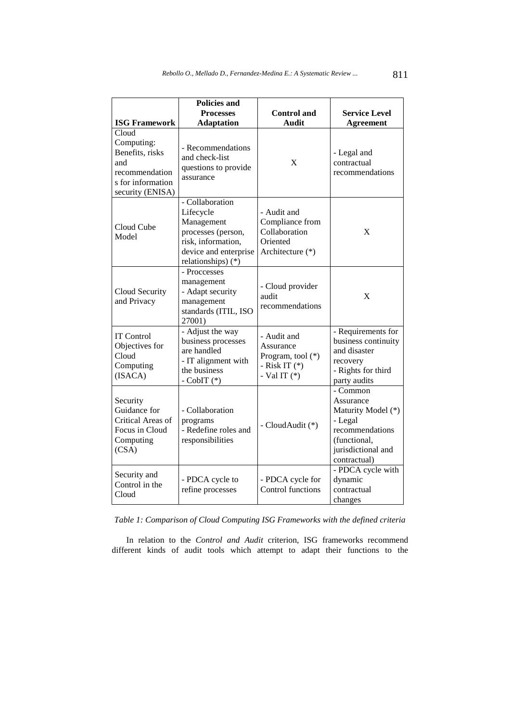|                                                                                                          | <b>Policies and</b>                                                                                                                     |                                                                                    |                                                                                                                                 |
|----------------------------------------------------------------------------------------------------------|-----------------------------------------------------------------------------------------------------------------------------------------|------------------------------------------------------------------------------------|---------------------------------------------------------------------------------------------------------------------------------|
|                                                                                                          | <b>Processes</b>                                                                                                                        | <b>Control</b> and                                                                 | <b>Service Level</b>                                                                                                            |
| <b>ISG Framework</b>                                                                                     | <b>Adaptation</b>                                                                                                                       | <b>Audit</b>                                                                       | <b>Agreement</b>                                                                                                                |
| Cloud<br>Computing:<br>Benefits, risks<br>and<br>recommendation<br>s for information<br>security (ENISA) | - Recommendations<br>and check-list<br>questions to provide<br>assurance                                                                | X                                                                                  | - Legal and<br>contractual<br>recommendations                                                                                   |
| Cloud Cube<br>Model                                                                                      | - Collaboration<br>Lifecycle<br>Management<br>processes (person,<br>risk, information,<br>device and enterprise<br>relationships) $(*)$ | - Audit and<br>Compliance from<br>Collaboration<br>Oriented<br>Architecture (*)    | X                                                                                                                               |
| Cloud Security<br>and Privacy                                                                            | - Proccesses<br>management<br>- Adapt security<br>management<br>standards (ITIL, ISO<br>27001)                                          | - Cloud provider<br>audit<br>recommendations                                       | X                                                                                                                               |
| <b>IT Control</b><br>Objectives for<br>Cloud<br>Computing<br>(ISACA)                                     | - Adjust the way<br>business processes<br>are handled<br>- IT alignment with<br>the business<br>$-CobIT$ (*)                            | - Audit and<br>Assurance<br>Program, tool (*)<br>- Risk IT $(*)$<br>- Val IT $(*)$ | - Requirements for<br>business continuity<br>and disaster<br>recovery<br>- Rights for third<br>party audits                     |
| Security<br>Guidance for<br>Critical Areas of<br>Focus in Cloud<br>Computing<br>(CSA)                    | - Collaboration<br>programs<br>- Redefine roles and<br>responsibilities                                                                 | - CloudAudit (*)                                                                   | - Common<br>Assurance<br>Maturity Model (*)<br>- Legal<br>recommendations<br>(functional,<br>jurisdictional and<br>contractual) |
| Security and<br>Control in the<br>Cloud                                                                  | - PDCA cycle to<br>refine processes                                                                                                     | - PDCA cycle for<br>Control functions                                              | - PDCA cycle with<br>dynamic<br>contractual<br>changes                                                                          |

*Table 1: Comparison of Cloud Computing ISG Frameworks with the defined criteria* 

In relation to the *Control and Audit* criterion, ISG frameworks recommend different kinds of audit tools which attempt to adapt their functions to the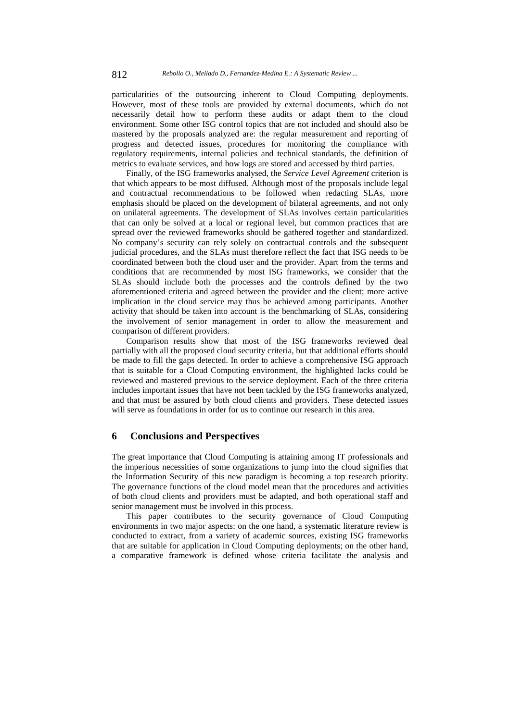particularities of the outsourcing inherent to Cloud Computing deployments. However, most of these tools are provided by external documents, which do not necessarily detail how to perform these audits or adapt them to the cloud environment. Some other ISG control topics that are not included and should also be mastered by the proposals analyzed are: the regular measurement and reporting of progress and detected issues, procedures for monitoring the compliance with regulatory requirements, internal policies and technical standards, the definition of metrics to evaluate services, and how logs are stored and accessed by third parties.

Finally, of the ISG frameworks analysed, the *Service Level Agreement* criterion is that which appears to be most diffused. Although most of the proposals include legal and contractual recommendations to be followed when redacting SLAs, more emphasis should be placed on the development of bilateral agreements, and not only on unilateral agreements. The development of SLAs involves certain particularities that can only be solved at a local or regional level, but common practices that are spread over the reviewed frameworks should be gathered together and standardized. No company's security can rely solely on contractual controls and the subsequent judicial procedures, and the SLAs must therefore reflect the fact that ISG needs to be coordinated between both the cloud user and the provider. Apart from the terms and conditions that are recommended by most ISG frameworks, we consider that the SLAs should include both the processes and the controls defined by the two aforementioned criteria and agreed between the provider and the client; more active implication in the cloud service may thus be achieved among participants. Another activity that should be taken into account is the benchmarking of SLAs, considering the involvement of senior management in order to allow the measurement and comparison of different providers.

Comparison results show that most of the ISG frameworks reviewed deal partially with all the proposed cloud security criteria, but that additional efforts should be made to fill the gaps detected. In order to achieve a comprehensive ISG approach that is suitable for a Cloud Computing environment, the highlighted lacks could be reviewed and mastered previous to the service deployment. Each of the three criteria includes important issues that have not been tackled by the ISG frameworks analyzed, and that must be assured by both cloud clients and providers. These detected issues will serve as foundations in order for us to continue our research in this area.

# **6 Conclusions and Perspectives**

The great importance that Cloud Computing is attaining among IT professionals and the imperious necessities of some organizations to jump into the cloud signifies that the Information Security of this new paradigm is becoming a top research priority. The governance functions of the cloud model mean that the procedures and activities of both cloud clients and providers must be adapted, and both operational staff and senior management must be involved in this process.

This paper contributes to the security governance of Cloud Computing environments in two major aspects: on the one hand, a systematic literature review is conducted to extract, from a variety of academic sources, existing ISG frameworks that are suitable for application in Cloud Computing deployments; on the other hand, a comparative framework is defined whose criteria facilitate the analysis and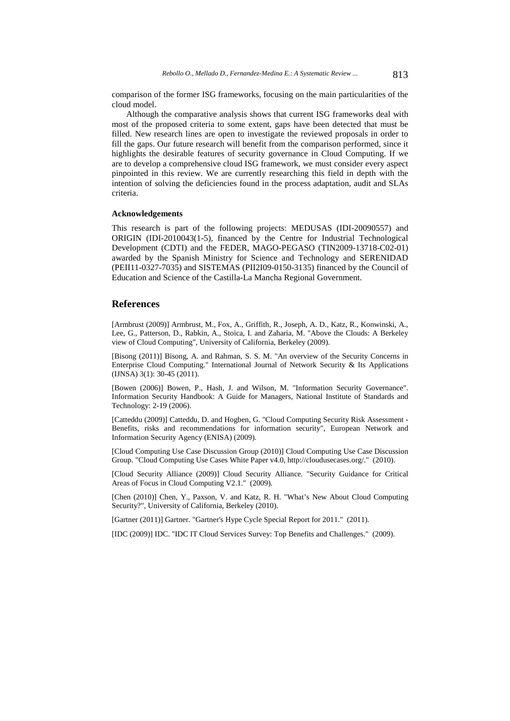comparison of the former ISG frameworks, focusing on the main particularities of the cloud model.

Although the comparative analysis shows that current ISG frameworks deal with most of the proposed criteria to some extent, gaps have been detected that must be filled. New research lines are open to investigate the reviewed proposals in order to fill the gaps. Our future research will benefit from the comparison performed, since it highlights the desirable features of security governance in Cloud Computing. If we are to develop a comprehensive cloud ISG framework, we must consider every aspect pinpointed in this review. We are currently researching this field in depth with the intention of solving the deficiencies found in the process adaptation, audit and SLAs criteria.

### **Acknowledgements**

This research is part of the following projects: MEDUSAS (IDI-20090557) and ORIGIN (IDI-2010043(1-5), financed by the Centre for Industrial Technological Development (CDTI) and the FEDER, MAGO-PEGASO (TIN2009-13718-C02-01) awarded by the Spanish Ministry for Science and Technology and SERENIDAD (PEII11-0327-7035) and SISTEMAS (PII2I09-0150-3135) financed by the Council of Education and Science of the Castilla-La Mancha Regional Government.

# **References**

[Armbrust (2009)] Armbrust, M., Fox, A., Griffith, R., Joseph, A. D., Katz, R., Konwinski, A., Lee, G., Patterson, D., Rabkin, A., Stoica, I. and Zaharia, M. "Above the Clouds: A Berkeley view of Cloud Computing", University of California, Berkeley (2009).

[Bisong (2011)] Bisong, A. and Rahman, S. S. M. "An overview of the Security Concerns in Enterprise Cloud Computing." International Journal of Network Security & Its Applications (IJNSA) 3(1): 30-45 (2011).

[Bowen (2006)] Bowen, P., Hash, J. and Wilson, M. "Information Security Governance". Information Security Handbook: A Guide for Managers, National Institute of Standards and Technology: 2-19 (2006).

[Catteddu (2009)] Catteddu, D. and Hogben, G. "Cloud Computing Security Risk Assessment - Benefits, risks and recommendations for information security", European Network and Information Security Agency (ENISA) (2009).

[Cloud Computing Use Case Discussion Group (2010)] Cloud Computing Use Case Discussion Group. "Cloud Computing Use Cases White Paper v4.0, http://cloudusecases.org/." (2010).

[Cloud Security Alliance (2009)] Cloud Security Alliance. "Security Guidance for Critical Areas of Focus in Cloud Computing V2.1." (2009).

[Chen (2010)] Chen, Y., Paxson, V. and Katz, R. H. "What's New About Cloud Computing Security?", University of California, Berkeley (2010).

[Gartner (2011)] Gartner. "Gartner's Hype Cycle Special Report for 2011." (2011).

[IDC (2009)] IDC. "IDC IT Cloud Services Survey: Top Benefits and Challenges." (2009).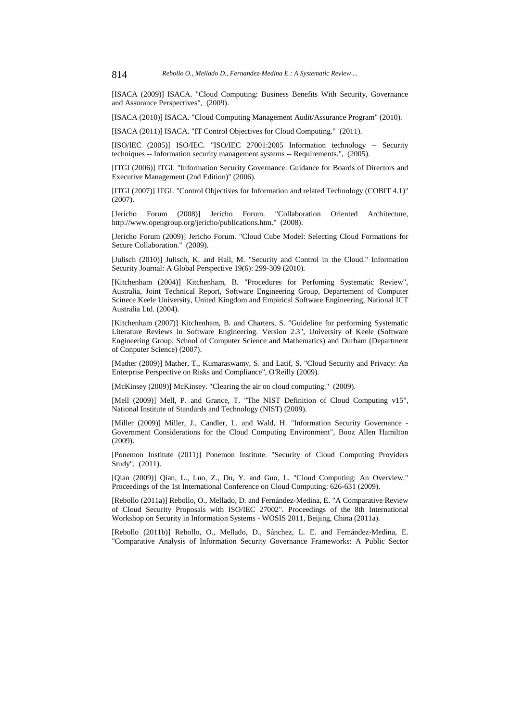[ISACA (2009)] ISACA. "Cloud Computing: Business Benefits With Security, Governance and Assurance Perspectives", (2009).

[ISACA (2010)] ISACA. "Cloud Computing Management Audit/Assurance Program" (2010).

[ISACA (2011)] ISACA. "IT Control Objectives for Cloud Computing." (2011).

[ISO/IEC (2005)] ISO/IEC. "ISO/IEC 27001:2005 Information technology -- Security techniques -- Information security management systems -- Requirements.", (2005).

[ITGI (2006)] ITGI. "Information Security Governance: Guidance for Boards of Directors and Executive Management (2nd Edition)" (2006).

[ITGI (2007)] ITGI. "Control Objectives for Information and related Technology (COBIT 4.1)" (2007).

[Jericho Forum (2008)] Jericho Forum. "Collaboration Oriented Architecture, http://www.opengroup.org/jericho/publications.htm." (2008).

[Jericho Forum (2009)] Jericho Forum. "Cloud Cube Model: Selecting Cloud Formations for Secure Collaboration." (2009).

[Julisch (2010)] Julisch, K. and Hall, M. "Security and Control in the Cloud." Information Security Journal: A Global Perspective 19(6): 299-309 (2010).

[Kitchenham (2004)] Kitchenham, B. "Procedures for Perfoming Systematic Review", Australia, Joint Technical Report, Software Engineering Group, Departement of Computer Scinece Keele University, United Kingdom and Empirical Software Engineering, National ICT Australia Ltd. (2004).

[Kitchenham (2007)] Kitchenham, B. and Charters, S. "Guideline for performing Systematic Literature Reviews in Software Engineering. Version 2.3", University of Keele (Software Engineering Group, School of Computer Science and Mathematics) and Durham (Department of Conputer Science) (2007).

[Mather (2009)] Mather, T., Kumaraswamy, S. and Latif, S. "Cloud Security and Privacy: An Enterprise Perspective on Risks and Compliance", O'Reilly (2009).

[McKinsey (2009)] McKinsey. "Clearing the air on cloud computing." (2009).

[Mell (2009)] Mell, P. and Grance, T. "The NIST Definition of Cloud Computing v15", National Institute of Standards and Technology (NIST) (2009).

[Miller (2009)] Miller, J., Candler, L. and Wald, H. "Information Security Governance - Government Considerations for the Cloud Computing Environment", Booz Allen Hamilton (2009).

[Ponemon Institute (2011)] Ponemon Institute. "Security of Cloud Computing Providers Study", (2011).

[Qian (2009)] Qian, L., Luo, Z., Du, Y. and Guo, L. "Cloud Computing: An Overview." Proceedings of the 1st International Conference on Cloud Computing: 626-631 (2009).

[Rebollo (2011a)] Rebollo, O., Mellado, D. and Fernández-Medina, E. "A Comparative Review of Cloud Security Proposals with ISO/IEC 27002". Proceedings of the 8th International Workshop on Security in Information Systems - WOSIS 2011, Beijing, China (2011a).

[Rebollo (2011b)] Rebollo, O., Mellado, D., Sánchez, L. E. and Fernández-Medina, E. "Comparative Analysis of Information Security Governance Frameworks: A Public Sector